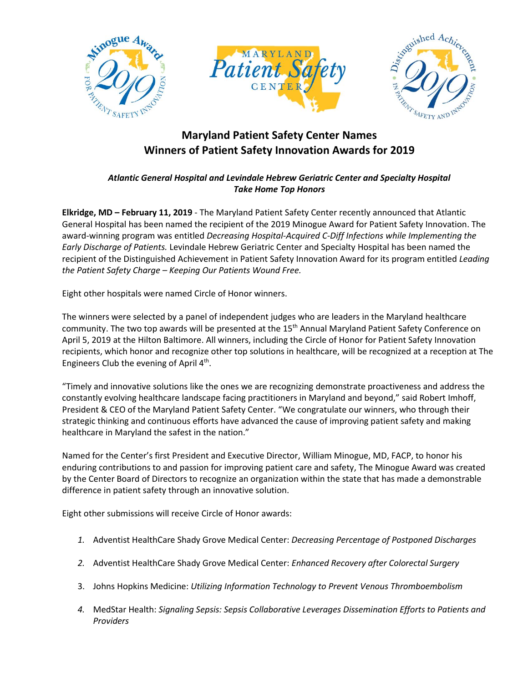





## **Maryland Patient Safety Center Names Winners of Patient Safety Innovation Awards for 2019**

## *Atlantic General Hospital and Levindale Hebrew Geriatric Center and Specialty Hospital Take Home Top Honors*

**Elkridge, MD – February 11, 2019** - The Maryland Patient Safety Center recently announced that Atlantic General Hospital has been named the recipient of the 2019 Minogue Award for Patient Safety Innovation. The award-winning program was entitled *Decreasing Hospital-Acquired C-Diff Infections while Implementing the Early Discharge of Patients.* Levindale Hebrew Geriatric Center and Specialty Hospital has been named the recipient of the Distinguished Achievement in Patient Safety Innovation Award for its program entitled *Leading the Patient Safety Charge – Keeping Our Patients Wound Free.*

Eight other hospitals were named Circle of Honor winners.

The winners were selected by a panel of independent judges who are leaders in the Maryland healthcare community. The two top awards will be presented at the 15<sup>th</sup> Annual Maryland Patient Safety Conference on April 5, 2019 at the Hilton Baltimore. All winners, including the Circle of Honor for Patient Safety Innovation recipients, which honor and recognize other top solutions in healthcare, will be recognized at a reception at The Engineers Club the evening of April 4<sup>th</sup>.

"Timely and innovative solutions like the ones we are recognizing demonstrate proactiveness and address the constantly evolving healthcare landscape facing practitioners in Maryland and beyond," said Robert Imhoff, President & CEO of the Maryland Patient Safety Center. "We congratulate our winners, who through their strategic thinking and continuous efforts have advanced the cause of improving patient safety and making healthcare in Maryland the safest in the nation."

Named for the Center's first President and Executive Director, William Minogue, MD, FACP, to honor his enduring contributions to and passion for improving patient care and safety, The Minogue Award was created by the Center Board of Directors to recognize an organization within the state that has made a demonstrable difference in patient safety through an innovative solution.

Eight other submissions will receive Circle of Honor awards:

- *1.* Adventist HealthCare Shady Grove Medical Center: *Decreasing Percentage of Postponed Discharges*
- *2.* Adventist HealthCare Shady Grove Medical Center: *Enhanced Recovery after Colorectal Surgery*
- 3. Johns Hopkins Medicine: *Utilizing Information Technology to Prevent Venous Thromboembolism*
- *4.* MedStar Health: *Signaling Sepsis: Sepsis Collaborative Leverages Dissemination Efforts to Patients and Providers*